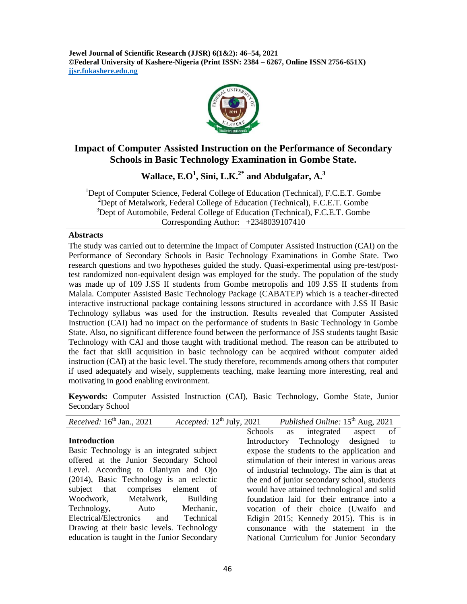**Jewel Journal of Scientific Research (JJSR) 6(1&2): 46–54, 2021 ©Federal University of Kashere-Nigeria (Print ISSN: 2384 – 6267, Online ISSN 2756-651X) jjsr.fukashere.edu.ng**



## **Impact of Computer Assisted Instruction on the Performance of Secondary Schools in Basic Technology Examination in Gombe State.**

**Wallace, E.O<sup>1</sup> , Sini, L.K. 2\* and Abdulgafar, A.<sup>3</sup>**

<sup>1</sup>Dept of Computer Science, Federal College of Education (Technical), F.C.E.T. Gombe <sup>2</sup>Dept of Metalwork, Federal College of Education (Technical), F.C.E.T. Gombe <sup>3</sup>Dept of Automobile, Federal College of Education (Technical), F.C.E.T. Gombe Corresponding Author: +2348039107410

#### **Abstracts**

The study was carried out to determine the Impact of Computer Assisted Instruction (CAI) on the Performance of Secondary Schools in Basic Technology Examinations in Gombe State. Two research questions and two hypotheses guided the study. Quasi-experimental using pre-test/posttest randomized non-equivalent design was employed for the study. The population of the study was made up of 109 J.SS II students from Gombe metropolis and 109 J.SS II students from Malala. Computer Assisted Basic Technology Package (CABATEP) which is a teacher-directed interactive instructional package containing lessons structured in accordance with J.SS II Basic Technology syllabus was used for the instruction. Results revealed that Computer Assisted Instruction (CAI) had no impact on the performance of students in Basic Technology in Gombe State. Also, no significant difference found between the performance of JSS students taught Basic Technology with CAI and those taught with traditional method. The reason can be attributed to the fact that skill acquisition in basic technology can be acquired without computer aided instruction (CAI) at the basic level. The study therefore, recommends among others that computer if used adequately and wisely, supplements teaching, make learning more interesting, real and motivating in good enabling environment.

**Keywords:** Computer Assisted Instruction (CAI), Basic Technology, Gombe State, Junior Secondary School

| <i>Received</i> : $16th$ Jan., 2021         |  | Accepted: $12^{th}$ July, 2021 Published Online: $15^{th}$ Aug, 2021 |    |
|---------------------------------------------|--|----------------------------------------------------------------------|----|
|                                             |  | Schools as integrated aspect                                         | of |
| <b>Introduction</b>                         |  | Introductory Technology designed to                                  |    |
| Basic Technology is an integrated subject   |  | expose the students to the application and                           |    |
| offered at the Junior Secondary School      |  | stimulation of their interest in various areas                       |    |
| Level. According to Olaniyan and Ojo        |  | of industrial technology. The aim is that at                         |    |
| (2014), Basic Technology is an eclectic     |  | the end of junior secondary school, students                         |    |
| subject that comprises element of           |  | would have attained technological and solid                          |    |
| Woodwork, Metalwork,<br><b>Building</b>     |  | foundation laid for their entrance into a                            |    |
| Technology, Auto Mechanic,                  |  | vocation of their choice (Uwaifo and                                 |    |
| Electrical/Electronics<br>Technical<br>and  |  | Edigin 2015; Kennedy 2015). This is in                               |    |
| Drawing at their basic levels. Technology   |  | consonance with the statement in the                                 |    |
| education is taught in the Junior Secondary |  | National Curriculum for Junior Secondary                             |    |
|                                             |  |                                                                      |    |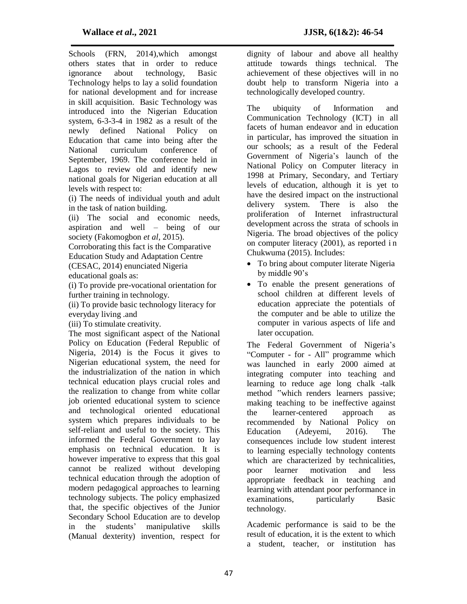Schools (FRN, 2014),which amongst others states that in order to reduce ignorance about technology, Basic Technology helps to lay a solid foundation for national development and for increase in skill acquisition. Basic Technology was introduced into the Nigerian Education system, 6-3-3-4 in 1982 as a result of the newly defined National Policy on Education that came into being after the National curriculum conference of September, 1969. The conference held in Lagos to review old and identify new national goals for Nigerian education at all levels with respect to:

(i) The needs of individual youth and adult in the task of nation building.

(ii) The social and economic needs, aspiration and well – being of our society (Fakomogbon *et al*, 2015).

Corroborating this fact is the Comparative Education Study and Adaptation Centre (CESAC, 2014) enunciated Nigeria educational goals as:

(i) To provide pre-vocational orientation for further training in technology.

(ii) To provide basic technology literacy for everyday living .and

(iii) To stimulate creativity.

The most significant aspect of the National Policy on Education (Federal Republic of Nigeria, 2014) is the Focus it gives to Nigerian educational system, the need for the industrialization of the nation in which technical education plays crucial roles and the realization to change from white collar job oriented educational system to science and technological oriented educational system which prepares individuals to be self-reliant and useful to the society. This informed the Federal Government to lay emphasis on technical education. It is however imperative to express that this goal cannot be realized without developing technical education through the adoption of modern pedagogical approaches to learning technology subjects. The policy emphasized that, the specific objectives of the Junior Secondary School Education are to develop in the students' manipulative skills (Manual dexterity) invention, respect for

dignity of labour and above all healthy attitude towards things technical. The achievement of these objectives will in no doubt help to transform Nigeria into a technologically developed country.

The ubiquity of Information and Communication Technology (ICT) in all facets of human endeavor and in education in particular, has improved the situation in our schools; as a result of the Federal Government of Nigeria's launch of the National Policy on Computer literacy in 1998 at Primary, Secondary, and Tertiary levels of education, although it is yet to have the desired impact on the instructional delivery system. There is also the proliferation of Internet infrastructural development across the strata of schools in Nigeria. The broad objectives of the policy on computer literacy (2001), as reported i n Chukwuma (2015). Includes:

- To bring about computer literate Nigeria by middle 90's
- To enable the present generations of school children at different levels of education appreciate the potentials of the computer and be able to utilize the computer in various aspects of life and later occupation.

The Federal Government of Nigeria's "Computer - for - All" programme which was launched in early 2000 aimed at integrating computer into teaching and learning to reduce age long chalk -talk method "which renders learners passive; making teaching to be ineffective against the learner-centered approach as recommended by National Policy on Education (Adeyemi, 2016). The consequences include low student interest to learning especially technology contents which are characterized by technicalities, poor learner motivation and less appropriate feedback in teaching and learning with attendant poor performance in examinations, particularly Basic technology.

Academic performance is said to be the result of education, it is the extent to which a student, teacher, or institution has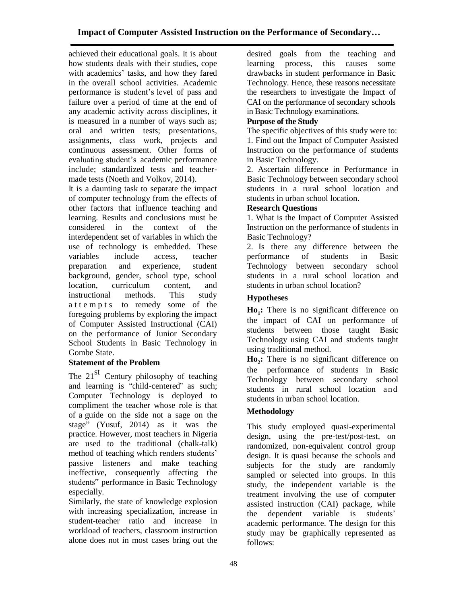achieved their educational goals. It is about how students deals with their studies, cope with academics' tasks, and how they fared in the overall school activities. Academic performance is student's level of pass and failure over a period of time at the end of any academic activity across disciplines, it is measured in a number of ways such as; oral and written tests; presentations, assignments, class work, projects and continuous assessment. Other forms of evaluating student's academic performance include; standardized tests and teachermade tests (Noeth and Volkov, 2014).

It is a daunting task to separate the impact of computer technology from the effects of other factors that influence teaching and learning. Results and conclusions must be considered in the context of the interdependent set of variables in which the use of technology is embedded. These variables include access, teacher preparation and experience, student background, gender, school type, school location, curriculum content, and instructional methods. This study a t t e m p t s to remedy some of the foregoing problems by exploring the impact of Computer Assisted Instructional (CAI) on the performance of Junior Secondary School Students in Basic Technology in Gombe State.

# **Statement of the Problem**

The  $21<sup>st</sup>$  Century philosophy of teaching and learning is "child-centered" as such; Computer Technology is deployed to compliment the teacher whose role is that of a guide on the side not a sage on the stage" (Yusuf, 2014) as it was the practice. However, most teachers in Nigeria are used to the traditional (chalk-talk) method of teaching which renders students' passive listeners and make teaching ineffective, consequently affecting the students" performance in Basic Technology especially.

Similarly, the state of knowledge explosion with increasing specialization, increase in student-teacher ratio and increase in workload of teachers, classroom instruction alone does not in most cases bring out the

desired goals from the teaching and learning process, this causes some drawbacks in student performance in Basic Technology. Hence, these reasons necessitate the researchers to investigate the Impact of CAI on the performance of secondary schools in Basic Technology examinations.

## **Purpose of the Study**

The specific objectives of this study were to: 1. Find out the Impact of Computer Assisted Instruction on the performance of students in Basic Technology.

2. Ascertain difference in Performance in Basic Technology between secondary school students in a rural school location and students in urban school location.

### **Research Questions**

1. What is the Impact of Computer Assisted Instruction on the performance of students in Basic Technology?

2. Is there any difference between the performance of students in Basic Technology between secondary school students in a rural school location and students in urban school location?

## **Hypotheses**

**Ho<sup>1</sup> :** There is no significant difference on the impact of CAI on performance of students between those taught Basic Technology using CAI and students taught using traditional method.

**Ho<sup>2</sup> :** There is no significant difference on the performance of students in Basic Technology between secondary school students in rural school location and students in urban school location.

# **Methodology**

This study employed quasi-experimental design, using the pre-test/post-test, on randomized, non-equivalent control group design. It is quasi because the schools and subjects for the study are randomly sampled or selected into groups. In this study, the independent variable is the treatment involving the use of computer assisted instruction (CAI) package, while the dependent variable is students' academic performance. The design for this study may be graphically represented as follows: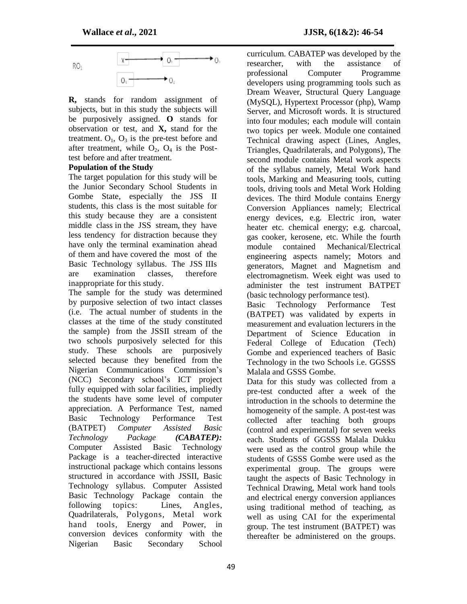

**R,** stands for random assignment of subjects, but in this study the subjects will be purposively assigned. **O** stands for observation or test, and **X,** stand for the treatment.  $O_1$ ,  $O_3$  is the pre-test before and after treatment, while  $O_2$ ,  $O_4$  is the Posttest before and after treatment.

#### **Population of the Study**

The target population for this study will be the Junior Secondary School Students in Gombe State, especially the JSS II students, this class is the most suitable for this study because they are a consistent middle class in the JSS stream, they have less tendency for distraction because they have only the terminal examination ahead of them and have covered the most of the Basic Technology syllabus. The JSS IIIs are examination classes, therefore inappropriate for this study.

The sample for the study was determined by purposive selection of two intact classes (i.e. The actual number of students in the classes at the time of the study constituted the sample) from the JSSII stream of the two schools purposively selected for this study. These schools are purposively selected because they benefited from the Nigerian Communications Commission's (NCC) Secondary school's ICT project fully equipped with solar facilities, impliedly the students have some level of computer appreciation. A Performance Test, named Basic Technology Performance Test (BATPET) *Computer Assisted Basic Technology Package (CABATEP):* Computer Assisted Basic Technology Package is a teacher-directed interactive instructional package which contains lessons structured in accordance with JSSII, Basic Technology syllabus. Computer Assisted Basic Technology Package contain the following topics: Lines, Angles, Quadrilaterals, Polygons, Metal work hand tools, Energy and Power, in conversion devices conformity with the Nigerian Basic Secondary School

curriculum. CABATEP was developed by the researcher, with the assistance of professional Computer Programme developers using programming tools such as Dream Weaver, Structural Query Language (MySQL), Hypertext Processor (php), Wamp Server, and Microsoft words. It is structured into four modules; each module will contain two topics per week. Module one contained Technical drawing aspect (Lines, Angles, Triangles, Quadrilaterals, and Polygons), The second module contains Metal work aspects of the syllabus namely, Metal Work hand tools, Marking and Measuring tools, cutting tools, driving tools and Metal Work Holding devices. The third Module contains Energy Conversion Appliances namely; Electrical energy devices, e.g. Electric iron, water heater etc. chemical energy; e.g. charcoal, gas cooker, kerosene, etc. While the fourth module contained Mechanical/Electrical engineering aspects namely; Motors and generators, Magnet and Magnetism and electromagnetism. Week eight was used to administer the test instrument BATPET (basic technology performance test).

Basic Technology Performance Test (BATPET) was validated by experts in measurement and evaluation lecturers in the Department of Science Education in Federal College of Education (Tech) Gombe and experienced teachers of Basic Technology in the two Schools i.e. GGSSS Malala and GSSS Gombe.

Data for this study was collected from a pre-test conducted after a week of the introduction in the schools to determine the homogeneity of the sample. A post-test was collected after teaching both groups (control and experimental) for seven weeks each. Students of GGSSS Malala Dukku were used as the control group while the students of GSSS Gombe were used as the experimental group. The groups were taught the aspects of Basic Technology in Technical Drawing, Metal work hand tools and electrical energy conversion appliances using traditional method of teaching, as well as using CAI for the experimental group. The test instrument (BATPET) was thereafter be administered on the groups.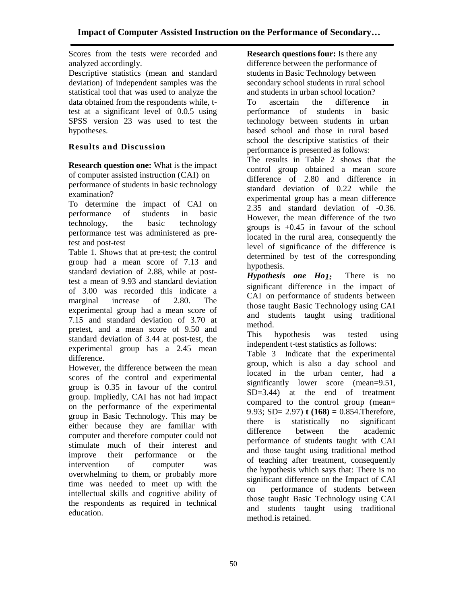Scores from the tests were recorded and analyzed accordingly.

Descriptive statistics (mean and standard deviation) of independent samples was the statistical tool that was used to analyze the data obtained from the respondents while, ttest at a significant level of 0.0.5 using SPSS version 23 was used to test the hypotheses.

## **Results and Discussion**

**Research question one:** What is the impact of computer assisted instruction (CAI) on performance of students in basic technology examination?

To determine the impact of CAI on performance of students in basic technology, the basic technology performance test was administered as pretest and post-test

Table 1. Shows that at pre-test; the control group had a mean score of 7.13 and standard deviation of 2.88, while at posttest a mean of 9.93 and standard deviation of 3.00 was recorded this indicate a marginal increase of 2.80. The experimental group had a mean score of 7.15 and standard deviation of 3.70 at pretest, and a mean score of 9.50 and standard deviation of 3.44 at post-test, the experimental group has a 2.45 mean difference.

However, the difference between the mean scores of the control and experimental group is 0.35 in favour of the control group. Impliedly, CAI has not had impact on the performance of the experimental group in Basic Technology. This may be either because they are familiar with computer and therefore computer could not stimulate much of their interest and improve their performance or the intervention of computer was overwhelming to them, or probably more time was needed to meet up with the intellectual skills and cognitive ability of the respondents as required in technical education.

**Research questions four:** Is there any difference between the performance of students in Basic Technology between secondary school students in rural school and students in urban school location? To ascertain the difference in performance of students in basic technology between students in urban based school and those in rural based school the descriptive statistics of their performance is presented as follows:

The results in Table 2 shows that the control group obtained a mean score difference of 2.80 and difference in standard deviation of 0.22 while the experimental group has a mean difference 2.35 and standard deviation of -0.36. However, the mean difference of the two groups is +0.45 in favour of the school located in the rural area, consequently the level of significance of the difference is determined by test of the corresponding hypothesis.

*Hypothesis one Ho1:* There is no significant difference in the impact of CAI on performance of students between those taught Basic Technology using CAI and students taught using traditional method.

This hypothesis was tested using independent t-test statistics as follows:

Table 3 Indicate that the experimental group, which is also a day school and located in the urban center, had a significantly lower score (mean=9.51, SD=3.44) at the end of treatment compared to the control group (mean= 9.93; SD= 2.97) **t (168) =** 0.854.Therefore, there is statistically no significant difference between the academic performance of students taught with CAI and those taught using traditional method of teaching after treatment, consequently the hypothesis which says that: There is no significant difference on the Impact of CAI on performance of students between those taught Basic Technology using CAI and students taught using traditional method.is retained.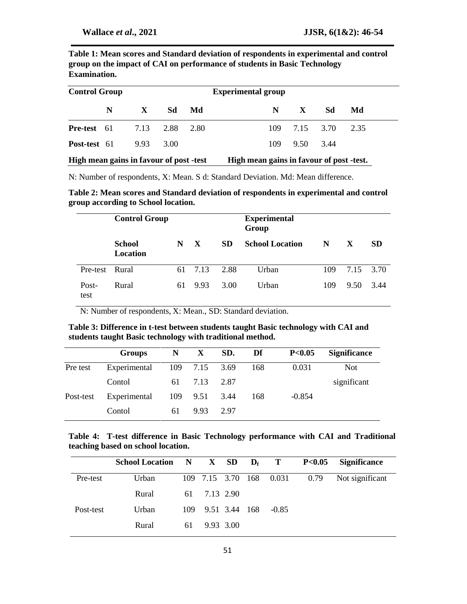**Table 1: Mean scores and Standard deviation of respondents in experimental and control group on the impact of CAI on performance of students in Basic Technology Examination.**

| <b>Control Group</b>      |     |              | <b>Experimental group</b> |      |    |               |               |      |  |
|---------------------------|-----|--------------|---------------------------|------|----|---------------|---------------|------|--|
|                           | N = | $\mathbf{X}$ | Sd                        | Md   | N. | $\mathbf{X}$  | -Sd           | Md   |  |
| <b>Pre-test</b> $61$ 7.13 |     |              | 2.88                      | 2.80 |    |               | 109 7.15 3.70 | 2.35 |  |
| <b>Post-test</b> 61       |     | 9.93         | 3.00                      |      |    | 109 9.50 3.44 |               |      |  |

| High mean gains in favour of post -test | High mean gains in favour of post -test. |
|-----------------------------------------|------------------------------------------|
|-----------------------------------------|------------------------------------------|

N: Number of respondents, X: Mean. S d: Standard Deviation. Md: Mean difference.

**Table 2: Mean scores and Standard deviation of respondents in experimental and control group according to School location.**

|                | <b>Control Group</b> |    |      |           | <b>Experimental</b><br>Group |     |           |           |  |  |
|----------------|----------------------|----|------|-----------|------------------------------|-----|-----------|-----------|--|--|
|                | School<br>Location   | N  | X    | <b>SD</b> | <b>School Location</b>       | N   | X         | <b>SD</b> |  |  |
| Pre-test Rural |                      | 61 | 7.13 | 2.88      | Urban                        | 109 | 7.15 3.70 |           |  |  |
| Post-<br>test  | Rural                | 61 | 9.93 | 3.00      | Urban                        | 109 | 9.50      | 3.44      |  |  |

N: Number of respondents, X: Mean., SD: Standard deviation.

**Table 3: Difference in t-test between students taught Basic technology with CAI and students taught Basic technology with traditional method.**

|           | <b>Groups</b> | N  | X             | SD.    | Df  | P<0.05   | <b>Significance</b> |
|-----------|---------------|----|---------------|--------|-----|----------|---------------------|
| Pre test  | Experimental  |    | 109 7.15 3.69 |        | 168 | 0.031    | <b>Not</b>          |
|           | Contol        | 61 | 7.13          | 2.87   |     |          | significant         |
| Post-test | Experimental  |    | 109 9.51      | - 3.44 | 168 | $-0.854$ |                     |
|           | Contol        | 61 | 9.93          | 2.97   |     |          |                     |

**Table 4: T-test difference in Basic Technology performance with CAI and Traditional teaching based on school location.**

|           | School Location $N$ $X$ SD $D_f$ T |      |               |  |                              | P<0.05 Significance |
|-----------|------------------------------------|------|---------------|--|------------------------------|---------------------|
| Pre-test  | Urban                              |      |               |  | 109 7.15 3.70 168 0.031 0.79 | Not significant     |
|           | Rural                              | 61   | 7.13 2.90     |  |                              |                     |
| Post-test | Urban                              | 109. | 9.51 3.44 168 |  | $-0.85$                      |                     |
|           | Rural                              | 61   | 9.93 3.00     |  |                              |                     |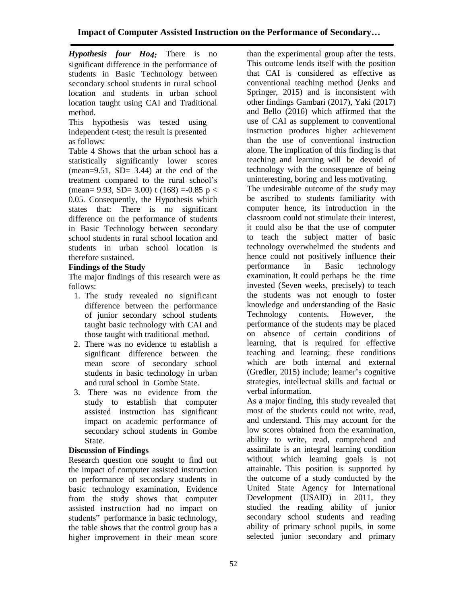*Hypothesis four Ho4:* There is no significant difference in the performance of students in Basic Technology between secondary school students in rural school location and students in urban school location taught using CAI and Traditional method.

This hypothesis was tested using independent t-test; the result is presented as follows:

Table 4 Shows that the urban school has a statistically significantly lower scores  $(mean=9.51, SD= 3.44)$  at the end of the treatment compared to the rural school's (mean= 9.93, SD= 3.00) t (168) =-0.85 p < 0.05. Consequently, the Hypothesis which states that: There is no significant difference on the performance of students in Basic Technology between secondary school students in rural school location and students in urban school location is therefore sustained.

## **Findings of the Study**

The major findings of this research were as follows:

- 1. The study revealed no significant difference between the performance of junior secondary school students taught basic technology with CAI and those taught with traditional method.
- 2. There was no evidence to establish a significant difference between the mean score of secondary school students in basic technology in urban and rural school in Gombe State.
- 3. There was no evidence from the study to establish that computer assisted instruction has significant impact on academic performance of secondary school students in Gombe State.

### **Discussion of Findings**

Research question one sought to find out the impact of computer assisted instruction on performance of secondary students in basic technology examination, Evidence from the study shows that computer assisted instruction had no impact on students" performance in basic technology, the table shows that the control group has a higher improvement in their mean score

than the experimental group after the tests. This outcome lends itself with the position that CAI is considered as effective as conventional teaching method (Jenks and Springer, 2015) and is inconsistent with other findings Gambari (2017), Yaki (2017) and Bello (2016) which affirmed that the use of CAI as supplement to conventional instruction produces higher achievement than the use of conventional instruction alone. The implication of this finding is that teaching and learning will be devoid of technology with the consequence of being uninteresting, boring and less motivating.

The undesirable outcome of the study may be ascribed to students familiarity with computer hence, its introduction in the classroom could not stimulate their interest, it could also be that the use of computer to teach the subject matter of basic technology overwhelmed the students and hence could not positively influence their performance in Basic technology examination, It could perhaps be the time invested (Seven weeks, precisely) to teach the students was not enough to foster knowledge and understanding of the Basic Technology contents. However, the performance of the students may be placed on absence of certain conditions of learning, that is required for effective teaching and learning; these conditions which are both internal and external (Gredler, 2015) include; learner's cognitive strategies, intellectual skills and factual or verbal information.

As a major finding, this study revealed that most of the students could not write, read, and understand. This may account for the low scores obtained from the examination, ability to write, read, comprehend and assimilate is an integral learning condition without which learning goals is not attainable. This position is supported by the outcome of a study conducted by the United State Agency for International Development (USAID) in 2011, they studied the reading ability of junior secondary school students and reading ability of primary school pupils, in some selected junior secondary and primary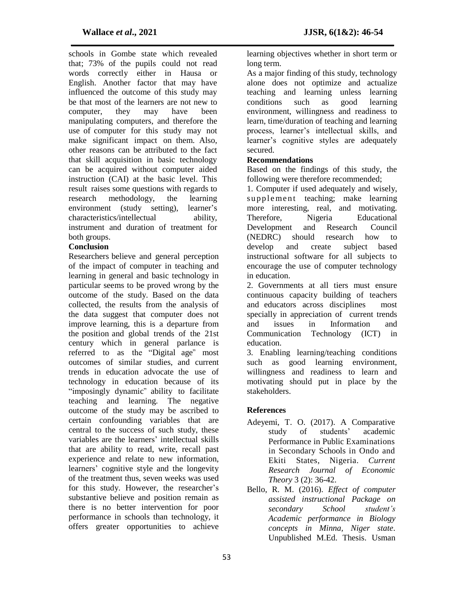schools in Gombe state which revealed that; 73% of the pupils could not read words correctly either in Hausa or English. Another factor that may have influenced the outcome of this study may be that most of the learners are not new to computer, they may have been manipulating computers, and therefore the use of computer for this study may not make significant impact on them. Also, other reasons can be attributed to the fact that skill acquisition in basic technology can be acquired without computer aided instruction (CAI) at the basic level. This result raises some questions with regards to research methodology, the learning environment (study setting), learner's characteristics/intellectual ability, instrument and duration of treatment for both groups.

#### **Conclusion**

Researchers believe and general perception of the impact of computer in teaching and learning in general and basic technology in particular seems to be proved wrong by the outcome of the study. Based on the data collected, the results from the analysis of the data suggest that computer does not improve learning, this is a departure from the position and global trends of the 21st century which in general parlance is referred to as the "Digital age" most outcomes of similar studies, and current trends in education advocate the use of technology in education because of its "imposingly dynamic" ability to facilitate teaching and learning. The negative outcome of the study may be ascribed to certain confounding variables that are central to the success of such study, these variables are the learners' intellectual skills that are ability to read, write, recall past experience and relate to new information, learners' cognitive style and the longevity of the treatment thus, seven weeks was used for this study. However, the researcher's substantive believe and position remain as there is no better intervention for poor performance in schools than technology, it offers greater opportunities to achieve

learning objectives whether in short term or long term.

As a major finding of this study, technology alone does not optimize and actualize teaching and learning unless learning conditions such as good learning environment, willingness and readiness to learn, time/duration of teaching and learning process, learner's intellectual skills, and learner's cognitive styles are adequately secured.

#### **Recommendations**

Based on the findings of this study, the following were therefore recommended;

1. Computer if used adequately and wisely, supplement teaching; make learning more interesting, real, and motivating. Therefore, Nigeria Educational Development and Research Council (NEDRC) should research how to develop and create subject based instructional software for all subjects to encourage the use of computer technology in education.

2. Governments at all tiers must ensure continuous capacity building of teachers and educators across disciplines most specially in appreciation of current trends and issues in Information and Communication Technology (ICT) in education.

3. Enabling learning/teaching conditions such as good learning environment, willingness and readiness to learn and motivating should put in place by the stakeholders.

#### **References**

- Adeyemi, T. O. (2017). A Comparative study of students' academic Performance in Public Examinations in Secondary Schools in Ondo and Ekiti States, Nigeria. *Current Research Journal of Economic Theory* 3 (2): 36-42.
- Bello, R. M. (2016). *Effect of computer assisted instructional Package on secondary School student's Academic performance in Biology concepts in Minna, Niger state.*  Unpublished M.Ed. Thesis. Usman